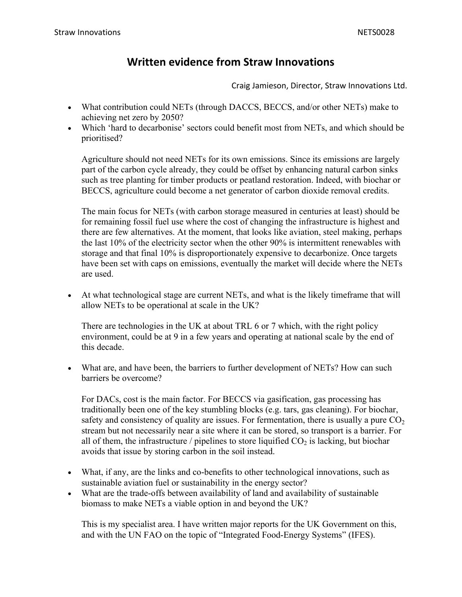## **Written evidence from Straw Innovations**

## Craig Jamieson, Director, Straw Innovations Ltd.

- What contribution could NETs (through DACCS, BECCS, and/or other NETs) make to achieving net zero by 2050?
- Which 'hard to decarbonise' sectors could benefit most from NETs, and which should be prioritised?

Agriculture should not need NETs for its own emissions. Since its emissions are largely part of the carbon cycle already, they could be offset by enhancing natural carbon sinks such as tree planting for timber products or peatland restoration. Indeed, with biochar or BECCS, agriculture could become a net generator of carbon dioxide removal credits.

The main focus for NETs (with carbon storage measured in centuries at least) should be for remaining fossil fuel use where the cost of changing the infrastructure is highest and there are few alternatives. At the moment, that looks like aviation, steel making, perhaps the last 10% of the electricity sector when the other 90% is intermittent renewables with storage and that final 10% is disproportionately expensive to decarbonize. Once targets have been set with caps on emissions, eventually the market will decide where the NETs are used.

 At what technological stage are current NETs, and what is the likely timeframe that will allow NETs to be operational at scale in the UK?

There are technologies in the UK at about TRL 6 or 7 which, with the right policy environment, could be at 9 in a few years and operating at national scale by the end of this decade.

 What are, and have been, the barriers to further development of NETs? How can such barriers be overcome?

For DACs, cost is the main factor. For BECCS via gasification, gas processing has traditionally been one of the key stumbling blocks (e.g. tars, gas cleaning). For biochar, safety and consistency of quality are issues. For fermentation, there is usually a pure  $CO<sub>2</sub>$ stream but not necessarily near a site where it can be stored, so transport is a barrier. For all of them, the infrastructure / pipelines to store liquified  $CO<sub>2</sub>$  is lacking, but biochar avoids that issue by storing carbon in the soil instead.

- What, if any, are the links and co-benefits to other technological innovations, such as sustainable aviation fuel or sustainability in the energy sector?
- What are the trade-offs between availability of land and availability of sustainable biomass to make NETs a viable option in and beyond the UK?

This is my specialist area. I have written major reports for the UK Government on this, and with the UN FAO on the topic of "Integrated Food-Energy Systems" (IFES).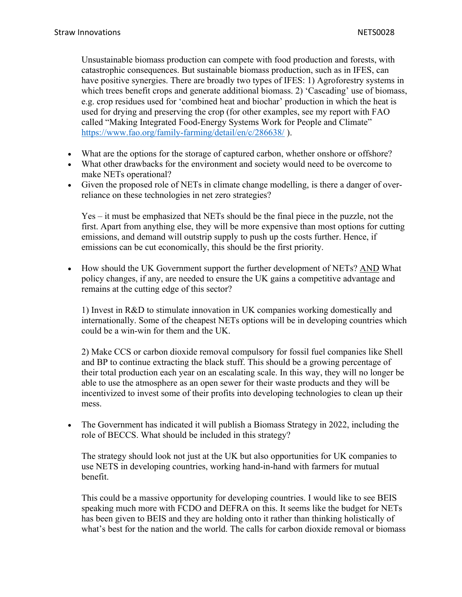Unsustainable biomass production can compete with food production and forests, with catastrophic consequences. But sustainable biomass production, such as in IFES, can have positive synergies. There are broadly two types of IFES: 1) Agroforestry systems in which trees benefit crops and generate additional biomass. 2) 'Cascading' use of biomass, e.g. crop residues used for 'combined heat and biochar' production in which the heat is used for drying and preserving the crop (for other examples, see my report with FAO called "Making Integrated Food-Energy Systems Work for People and Climate" <https://www.fao.org/family-farming/detail/en/c/286638/> ).

- What are the options for the storage of captured carbon, whether onshore or offshore?
- What other drawbacks for the environment and society would need to be overcome to make NETs operational?
- Given the proposed role of NETs in climate change modelling, is there a danger of overreliance on these technologies in net zero strategies?

Yes – it must be emphasized that NETs should be the final piece in the puzzle, not the first. Apart from anything else, they will be more expensive than most options for cutting emissions, and demand will outstrip supply to push up the costs further. Hence, if emissions can be cut economically, this should be the first priority.

 How should the UK Government support the further development of NETs? AND What policy changes, if any, are needed to ensure the UK gains a competitive advantage and remains at the cutting edge of this sector?

1) Invest in R&D to stimulate innovation in UK companies working domestically and internationally. Some of the cheapest NETs options will be in developing countries which could be a win-win for them and the UK.

2) Make CCS or carbon dioxide removal compulsory for fossil fuel companies like Shell and BP to continue extracting the black stuff. This should be a growing percentage of their total production each year on an escalating scale. In this way, they will no longer be able to use the atmosphere as an open sewer for their waste products and they will be incentivized to invest some of their profits into developing technologies to clean up their mess.

• The Government has indicated it will publish a Biomass Strategy in 2022, including the role of BECCS. What should be included in this strategy?

The strategy should look not just at the UK but also opportunities for UK companies to use NETS in developing countries, working hand-in-hand with farmers for mutual benefit.

This could be a massive opportunity for developing countries. I would like to see BEIS speaking much more with FCDO and DEFRA on this. It seems like the budget for NETs has been given to BEIS and they are holding onto it rather than thinking holistically of what's best for the nation and the world. The calls for carbon dioxide removal or biomass